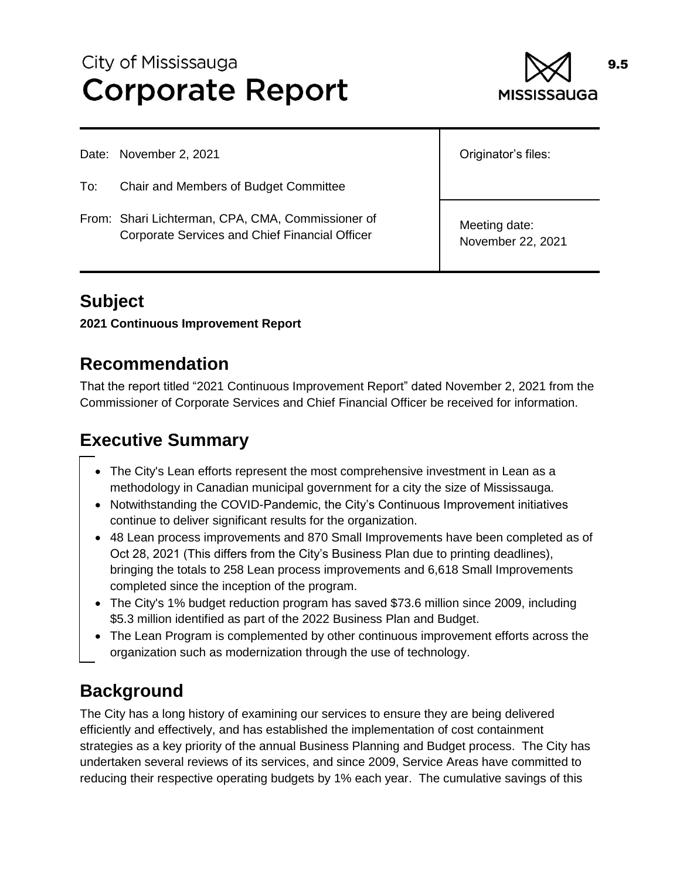# City of Mississauga **Corporate Report**



Date: November 2, 2021

To: Chair and Members of Budget Committee

From: Shari Lichterman, CPA, CMA, Commissioner of Corporate Services and Chief Financial Officer

Originator's files:

Meeting date: November 22, 2021

# **Subject**

**2021 Continuous Improvement Report**

### **Recommendation**

That the report titled "2021 Continuous Improvement Report" dated November 2, 2021 from the Commissioner of Corporate Services and Chief Financial Officer be received for information.

# **Executive Summary**

- The City's Lean efforts represent the most comprehensive investment in Lean as a methodology in Canadian municipal government for a city the size of Mississauga.
- Notwithstanding the COVID-Pandemic, the City's Continuous Improvement initiatives continue to deliver significant results for the organization.
- 48 Lean process improvements and 870 Small Improvements have been completed as of Oct 28, 2021 (This differs from the City's Business Plan due to printing deadlines), bringing the totals to 258 Lean process improvements and 6,618 Small Improvements completed since the inception of the program.
- The City's 1% budget reduction program has saved \$73.6 million since 2009, including \$5.3 million identified as part of the 2022 Business Plan and Budget.
- The Lean Program is complemented by other continuous improvement efforts across the organization such as modernization through the use of technology.

# **Background**

The City has a long history of examining our services to ensure they are being delivered efficiently and effectively, and has established the implementation of cost containment strategies as a key priority of the annual Business Planning and Budget process. The City has undertaken several reviews of its services, and since 2009, Service Areas have committed to reducing their respective operating budgets by 1% each year. The cumulative savings of this

9.5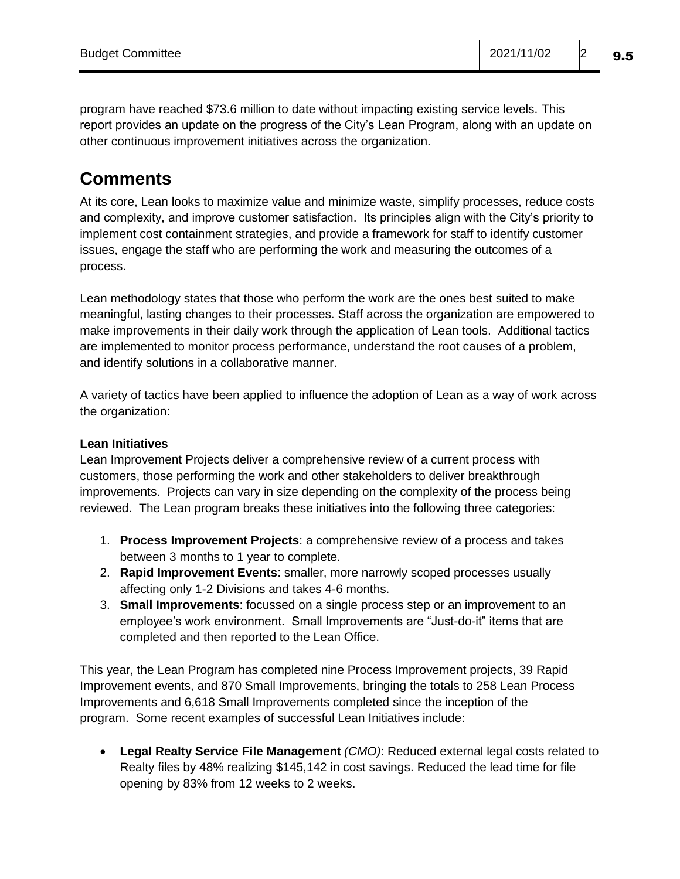program have reached \$73.6 million to date without impacting existing service levels. This report provides an update on the progress of the City's Lean Program, along with an update on other continuous improvement initiatives across the organization.

# **Comments**

At its core, Lean looks to maximize value and minimize waste, simplify processes, reduce costs and complexity, and improve customer satisfaction. Its principles align with the City's priority to implement cost containment strategies, and provide a framework for staff to identify customer issues, engage the staff who are performing the work and measuring the outcomes of a process.

Lean methodology states that those who perform the work are the ones best suited to make meaningful, lasting changes to their processes. Staff across the organization are empowered to make improvements in their daily work through the application of Lean tools. Additional tactics are implemented to monitor process performance, understand the root causes of a problem, and identify solutions in a collaborative manner.

A variety of tactics have been applied to influence the adoption of Lean as a way of work across the organization:

#### **Lean Initiatives**

Lean Improvement Projects deliver a comprehensive review of a current process with customers, those performing the work and other stakeholders to deliver breakthrough improvements. Projects can vary in size depending on the complexity of the process being reviewed. The Lean program breaks these initiatives into the following three categories:

- 1. **Process Improvement Projects**: a comprehensive review of a process and takes between 3 months to 1 year to complete.
- 2. **Rapid Improvement Events**: smaller, more narrowly scoped processes usually affecting only 1-2 Divisions and takes 4-6 months.
- 3. **Small Improvements**: focussed on a single process step or an improvement to an employee's work environment. Small Improvements are "Just-do-it" items that are completed and then reported to the Lean Office.

This year, the Lean Program has completed nine Process Improvement projects, 39 Rapid Improvement events, and 870 Small Improvements, bringing the totals to 258 Lean Process Improvements and 6,618 Small Improvements completed since the inception of the program. Some recent examples of successful Lean Initiatives include:

 **Legal Realty Service File Management** *(CMO)*: Reduced external legal costs related to Realty files by 48% realizing \$145,142 in cost savings. Reduced the lead time for file opening by 83% from 12 weeks to 2 weeks.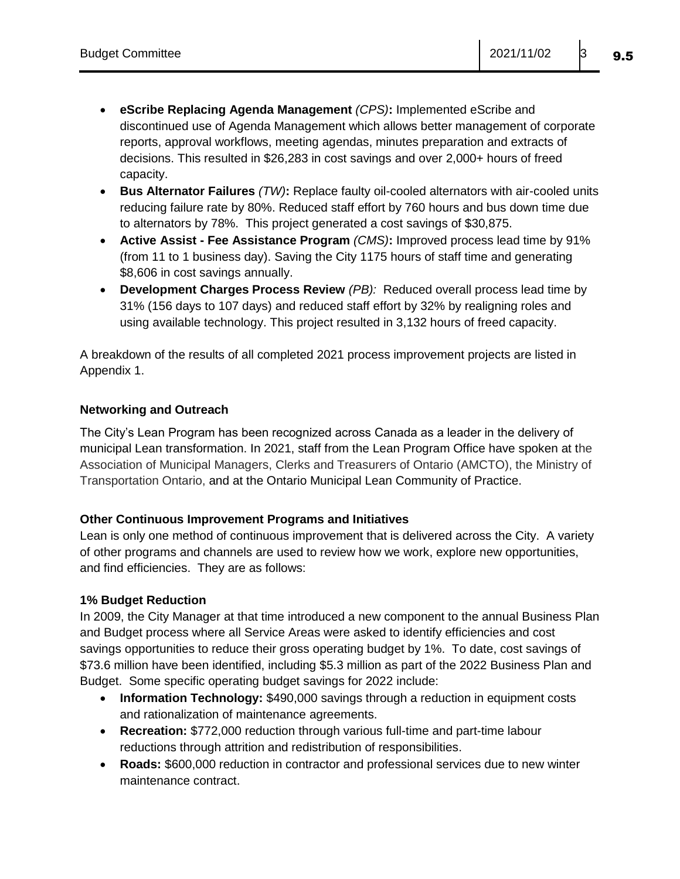- **eScribe Replacing Agenda Management** *(CPS)***:** Implemented eScribe and discontinued use of Agenda Management which allows better management of corporate reports, approval workflows, meeting agendas, minutes preparation and extracts of decisions. This resulted in \$26,283 in cost savings and over 2,000+ hours of freed capacity.
- **Bus Alternator Failures** *(TW)***:** Replace faulty oil-cooled alternators with air-cooled units reducing failure rate by 80%. Reduced staff effort by 760 hours and bus down time due to alternators by 78%. This project generated a cost savings of \$30,875.
- **Active Assist - Fee Assistance Program** *(CMS)***:** Improved process lead time by 91% (from 11 to 1 business day). Saving the City 1175 hours of staff time and generating \$8,606 in cost savings annually.
- **Development Charges Process Review** *(PB):* Reduced overall process lead time by 31% (156 days to 107 days) and reduced staff effort by 32% by realigning roles and using available technology. This project resulted in 3,132 hours of freed capacity.

A breakdown of the results of all completed 2021 process improvement projects are listed in Appendix 1.

#### **Networking and Outreach**

The City's Lean Program has been recognized across Canada as a leader in the delivery of municipal Lean transformation. In 2021, staff from the Lean Program Office have spoken at the Association of Municipal Managers, Clerks and Treasurers of Ontario (AMCTO), the Ministry of Transportation Ontario, and at the Ontario Municipal Lean Community of Practice.

#### **Other Continuous Improvement Programs and Initiatives**

Lean is only one method of continuous improvement that is delivered across the City. A variety of other programs and channels are used to review how we work, explore new opportunities, and find efficiencies. They are as follows:

#### **1% Budget Reduction**

In 2009, the City Manager at that time introduced a new component to the annual Business Plan and Budget process where all Service Areas were asked to identify efficiencies and cost savings opportunities to reduce their gross operating budget by 1%. To date, cost savings of \$73.6 million have been identified, including \$5.3 million as part of the 2022 Business Plan and Budget. Some specific operating budget savings for 2022 include:

- **Information Technology:** \$490,000 savings through a reduction in equipment costs and rationalization of maintenance agreements.
- **Recreation:** \$772,000 reduction through various full-time and part-time labour reductions through attrition and redistribution of responsibilities.
- **Roads:** \$600,000 reduction in contractor and professional services due to new winter maintenance contract.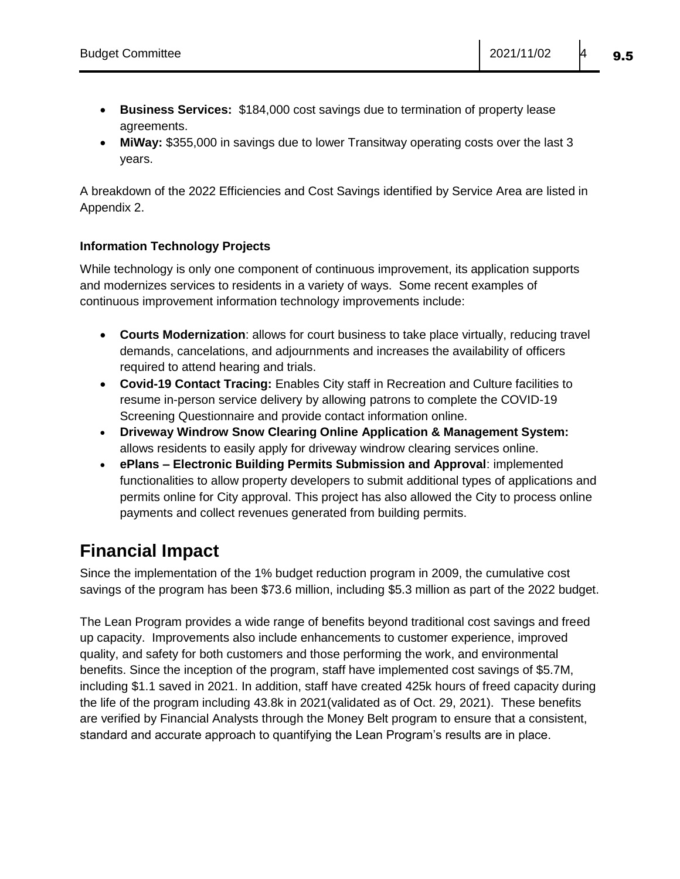- **Business Services:** \$184,000 cost savings due to termination of property lease agreements.
- **MiWay:** \$355,000 in savings due to lower Transitway operating costs over the last 3 years.

A breakdown of the 2022 Efficiencies and Cost Savings identified by Service Area are listed in Appendix 2.

#### **Information Technology Projects**

While technology is only one component of continuous improvement, its application supports and modernizes services to residents in a variety of ways. Some recent examples of continuous improvement information technology improvements include:

- **Courts Modernization**: allows for court business to take place virtually, reducing travel demands, cancelations, and adjournments and increases the availability of officers required to attend hearing and trials.
- **Covid-19 Contact Tracing:** Enables City staff in Recreation and Culture facilities to resume in-person service delivery by allowing patrons to complete the COVID-19 Screening Questionnaire and provide contact information online.
- **Driveway Windrow Snow Clearing Online Application & Management System:** allows residents to easily apply for driveway windrow clearing services online.
- **ePlans – Electronic Building Permits Submission and Approval**: implemented functionalities to allow property developers to submit additional types of applications and permits online for City approval. This project has also allowed the City to process online payments and collect revenues generated from building permits.

### **Financial Impact**

Since the implementation of the 1% budget reduction program in 2009, the cumulative cost savings of the program has been \$73.6 million, including \$5.3 million as part of the 2022 budget.

The Lean Program provides a wide range of benefits beyond traditional cost savings and freed up capacity. Improvements also include enhancements to customer experience, improved quality, and safety for both customers and those performing the work, and environmental benefits. Since the inception of the program, staff have implemented cost savings of \$5.7M, including \$1.1 saved in 2021. In addition, staff have created 425k hours of freed capacity during the life of the program including 43.8k in 2021(validated as of Oct. 29, 2021). These benefits are verified by Financial Analysts through the Money Belt program to ensure that a consistent, standard and accurate approach to quantifying the Lean Program's results are in place.